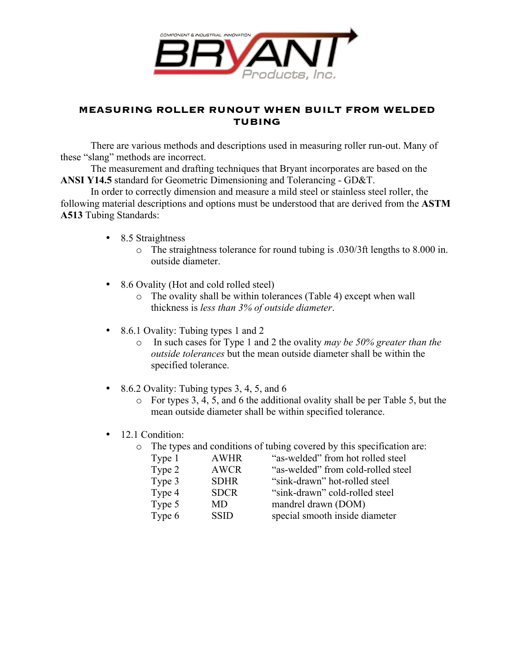

## **MEASURING ROLLER RUNOUT WHEN BUILT FROM WELDED TUBING**

There are various methods and descriptions used in measuring roller run-out. Many of these "slang" methods are incorrect.

The measurement and drafting techniques that Bryant incorporates are based on the **ANSI Y14.5** standard for Geometric Dimensioning and Tolerancing - GD&T.

In order to correctly dimension and measure a mild steel or stainless steel roller, the following material descriptions and options must be understood that are derived from the **ASTM A513** Tubing Standards:

- 8.5 Straightness
	- o The straightness tolerance for round tubing is .030/3ft lengths to 8.000 in. outside diameter.
- 8.6 Ovality (Hot and cold rolled steel)
	- o The ovality shall be within tolerances (Table 4) except when wall thickness is *less than 3% of outside diameter*.
- 8.6.1 Ovality: Tubing types 1 and 2
	- o In such cases for Type 1 and 2 the ovality *may be 50% greater than the outside tolerances* but the mean outside diameter shall be within the specified tolerance.
- 8.6.2 Ovality: Tubing types 3, 4, 5, and 6
	- o For types 3, 4, 5, and 6 the additional ovality shall be per Table 5, but the mean outside diameter shall be within specified tolerance.
- 12.1 Condition:
	- o The types and conditions of tubing covered by this specification are:

| <b>AWHR</b> | "as-welded" from hot rolled steel  |
|-------------|------------------------------------|
| <b>AWCR</b> | "as-welded" from cold-rolled steel |
| <b>SDHR</b> | "sink-drawn" hot-rolled steel      |
| <b>SDCR</b> | "sink-drawn" cold-rolled steel     |
| MD          | mandrel drawn (DOM)                |
| <b>SSID</b> | special smooth inside diameter     |
|             |                                    |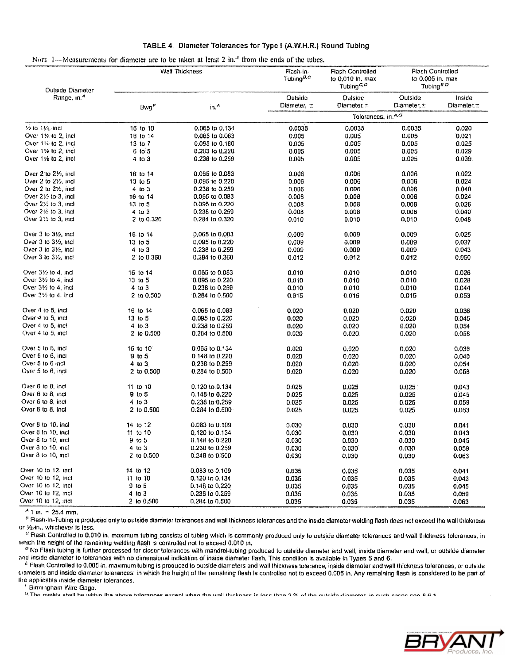| Outside Diameter                      | Wall Thickness.  |                    | Flash-in-<br>Tubina <sup>B<sub>i</sub>c</sup> | <b>Flash Controlled</b><br>to 0.010 in. max<br>Tubing <sup>C<sub>i</sub>D</sup> | <b>Flash Controlled</b><br>to $0.005$ in, max<br>Tubing <sup>ED</sup> |                 |
|---------------------------------------|------------------|--------------------|-----------------------------------------------|---------------------------------------------------------------------------------|-----------------------------------------------------------------------|-----------------|
| Range, in. <sup>4</sup>               |                  |                    | Outside                                       | Outside                                                                         | Outside                                                               | Inside          |
|                                       | Bwg <sup>F</sup> | $in^A$             | Diameter, =                                   | Diameter, $\pm$                                                                 | Diameter, $\pm$                                                       | Diamater, $\pm$ |
|                                       |                  |                    |                                               | Tolerances, in.A.G                                                              |                                                                       |                 |
| $%$ to $1\%$ , incl                   | 16 to 10         | 0.065 to 0.134     | 0.0035                                        | 0.0035                                                                          | 0.0035                                                                | 0.020           |
| Over 11/4 to 2, incl                  | 16 to 14         | 0.065 to 0.083     | 0.005                                         | 0.005                                                                           | 0.005                                                                 | 0.021           |
| Over 11% to 2, incl                   | 13107            | 0.095 to 0.180     | 0.005                                         | 0.005                                                                           | 0.005                                                                 | 0.025           |
| Over 11/4 to 2, incl                  | $6$ to $5$       | 0.203 to 0.220     | 0.005                                         | 0.005                                                                           | 0.005                                                                 | 0.029           |
| Over 1% to 2, incl                    | $4$ to $3$       | 0.238 to 0.259     | 0.005                                         | 0.005                                                                           | 0.005                                                                 | 0.039           |
| Over 2 to 21/2, incl.                 | 16 to 14         | 0.065 to 0.083     | 0.006                                         | 0.006                                                                           | 0.006                                                                 | 0.022           |
| Over 2 to 21%, incl.                  | 13 to 5          | 0.095 to 0.220     | 0.006                                         | 0.006                                                                           | 0.006                                                                 | 0.024           |
| Over 2 to $2\frac{1}{2}$ , incl       | $4$ to $3$       | 0.238 to 0.259     | 0.006                                         | 0.006                                                                           | 0.006                                                                 | 0.040           |
| Over $2\frac{1}{2}$ to 3, incl        | 16 to 14         | 0.065 to 0.083     | 0,008                                         | 0.008                                                                           | 0,008                                                                 | 0.024           |
| Over $2\frac{1}{2}$ to 3, incl.       | 13 to 5          | 0.095 to 0.220     | 0.008                                         | 0.008                                                                           | 0.008                                                                 | 0.026           |
| Over $2\frac{1}{2}$ to 3, incl.       | 4103             | 0.238 to 0.259     | 0.008                                         | 0.008                                                                           | 0.008                                                                 | 0.040           |
| Over 215 to 3, incl                   | 2 to 0.320       | 0,284 to 0.320     | 0.010                                         | 0.010                                                                           | 0.010                                                                 | 0.048           |
| Over $3$ to $3\frac{1}{2}$ , incl     | 16 to 14         | 0.065 to 0.083     | 0.009                                         | 0.009                                                                           | 0.009                                                                 | 0.025           |
| Over $3 \text{ to } 3\frac{1}{2}$ and | 13 to 5          | 0.095 to 0.220     | 0.009                                         | 0.009                                                                           | 0.009                                                                 | 0,027           |
| Over $3 \text{ to } 3\%$ , incl       | $4$ to $3$       | 0.238 to 0.259     | 0.009                                         | 0.009                                                                           | 0.009                                                                 | 0.043           |
| Over 3 to 31/2, incl.                 | 21 to 0.360      | 0.284 to 0.360     | 0.012                                         | 0.012                                                                           | 0.012                                                                 | 0.050           |
| Over 31/2 to 4, incl.                 | 16 to 14         | 0.065 to 0.083     | 0.010                                         | 0.010                                                                           | 0.010                                                                 | 0.026           |
| Over $3\frac{1}{2}$ to 4, incl        | 13 to 5          | 0.095 to 0.220     | 0.010                                         | 0.010                                                                           | 0.010                                                                 | 0.02B           |
| Over 31/ <sub>2</sub> to 4, incl.     | 4 to 3           | 0.238 to 0.259     | 0.010                                         | 0.010                                                                           | 0.010                                                                 | 0.044           |
| Over $3\frac{1}{2}$ to 4, incl        | 2 to 0.500       | 0.264 to 0.500     | 0.015                                         | 0.015                                                                           | 0.015                                                                 | 0.053           |
| Over 4 to 5, incl                     | 16 to 14         | 0.065 to 0.083     | 0.020                                         | 0.020                                                                           | 0.020                                                                 | 0.036           |
| Over 4 to 5, incl                     | 13 to 5          | 0.095 to 0.220     | 0.020                                         | 0,020                                                                           | 0.020                                                                 | 0.045           |
| Over 4 to 5, incl                     | 410.3            | 0.238 to 0.259     | 0.020                                         | 0.020                                                                           | 0.020                                                                 | 0.054           |
| Over 4 to 5, incl.                    | 2 to 0.500       | 0.284 to 0.500     | 0.020                                         | 0.020                                                                           | 0.020                                                                 | 0.058           |
| Over 5 to 6, incl.                    | 16 to 10         | 0.065 to 0.134     | 0.020                                         | 0.020                                                                           | 0.020                                                                 | 0.036           |
| Over 5 to 6, incl                     | $9$ to $5$       | 0.148 to 0.220     | 0.020                                         | 0.020                                                                           | 0.020                                                                 | 0.040           |
| Over 5 to 6 incl                      | $4$ to $3$       | 0.238 to 0.259     | 0.020                                         | 0.020                                                                           | 0.020                                                                 | 0.054           |
| Over 5 to 6, incl                     | 2 to 0.500       | 0,284 to 0,500     | 0.020                                         | 0.020                                                                           | 0.020                                                                 | 0.058           |
| Over 6 to 8, $\infty$                 | 11 to 10         | 0.120 to 0.134     | 0.025                                         | 0.025                                                                           | 0.025                                                                 | 0.043           |
| Over 6 to 8, incl.                    | $9$ to $5$       | $0.148$ to $0.220$ | 0.025                                         | 0.025                                                                           | 0.025                                                                 | 0.045           |
| Over 6 to 8, incl.                    | $4$ to $3$       | 0.238 to 0.259     | 0.025                                         | 0.025                                                                           | 0.025                                                                 | 0.059           |
| Over 6 to 8, incl.                    | $2$ to 0.500     | 0.284 to 0.500     | 0.025                                         | 0.025                                                                           | 0.025                                                                 | 0.063           |
| Over 8 to 10, incl                    | 14 to 12         | 0.083 to 0.109     | 0.030                                         | 0.030                                                                           | 0.030                                                                 | 0.041           |
| Over 8 to 10, incl.                   | 11 to 10         | 0.120 to 0.134     | 0.030                                         | 0.030                                                                           | 0,030                                                                 | 0.043           |
| Over 8 to 10, incl                    | 9 to 5           | $0.148$ to $0.220$ | 0.030                                         | 0.030                                                                           | 0.030                                                                 | 0.045           |
| Over 8 to 10, incl                    | 4 to 3           | 0.238 to 0.259     | 0.030                                         | 0.030                                                                           | 0.030                                                                 | 0.059           |
| Over 8 to 10, incl                    | 2 to 0.500       | 0.248 to 0.500     | 0.030                                         | 0.030                                                                           | 0.030                                                                 | 0.063           |
| Over 10 to 12, incl                   | 14 to 12         | 0.083 to 0.109     | 0.035                                         | 0.035                                                                           | 0.035                                                                 | 0.041           |
| Over 10 to 12, incl                   | 11 to 10         | 0.120 to 0.134     | 0.035                                         | 0.035                                                                           | 0.035                                                                 | 0.043           |
| Over 10 to 12, incl.                  | $9$ to $5$       | 0.148 to 0.220     | 0.035                                         | 0.035                                                                           | 0.035                                                                 | 0.045           |
| Over 10 to 12, incl                   | 4 to 3           | 0.238 to 0.259     | 0.035                                         | 0.035                                                                           | 0.035                                                                 | 0.059           |
| Over 10 to 12, mcl                    | 2 10 0.500       | 0.284 to 0.500     | 0.035                                         | 0.035                                                                           | 0.035                                                                 | 0.063           |

### TABLE 4 Diameter Tolerances for Type I (A.W.H.R.) Round Tubing

NOTE 1-Measurements for diameter are to be taken at least 2 in.<sup>4</sup> from the ends of the tubes.

 $A$  1 in. = 25.4 mm.

<sup>8</sup> Flash-In-Tubing is produced only to outside diameter tolerances and wall thickness tolerances and the inside diameter welding flash does not exceed the wall thickness or Yizin., whichever is less.

<sup>G</sup> Flash Controlled to 0.010 in. maximum tubing consists of tubing which is commonly produced only to outside diameter tolerances and wall thickness tolerances, in which the height of the remaining welding flash is controlled not to exceed 0,010 in.

<sup>D</sup> No Flash tubing is further processed for closer tolerances with mandrel-tubing produced to outside diameter and wall, inside diameter and wall, or outside diameter and inside diameter to tolerances with no dimensional indication of inside diameter flash. This condition is available in Types 5 and 6.

<sup>E</sup> Flash Controlled to 0.005 in. maximum tubing is produced to outside diameters and wall thickness tolerance, inside diameter and wall thickness tolerances, or outside diameters and inside diameter tolerances, in which the height of the remaining flash is controlled not to exceed 0.005 in. Any remaining flash is considered to be part of the applicable inside diameter tolerances.

<sup>7</sup> Birmingham Wire Gage.

<sup>6</sup> The ovality shall be within the above tolerances excent when the wall thickness is less than 3 % of the outside diameter in such cases see B.B.3

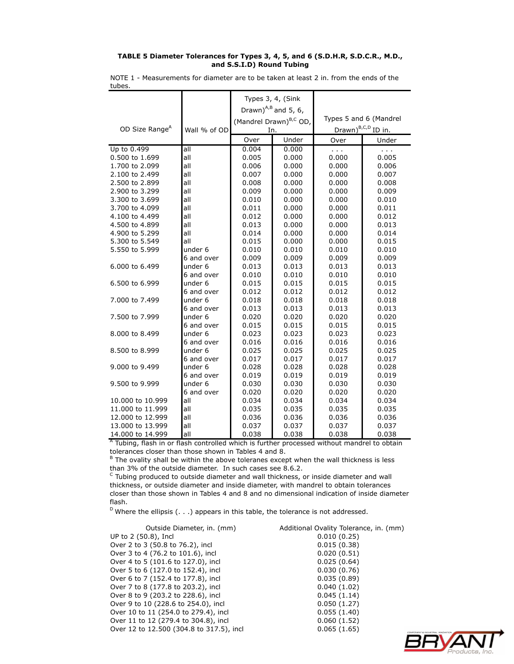#### **TABLE 5 Diameter Tolerances for Types 3, 4, 5, and 6 (S.D.H.R, S.D.C.R., M.D., and S.S.I.D) Round Tubing**

NOTE 1 - Measurements for diameter are to be taken at least 2 in. from the ends of the tubes.

|                            |              | Types 3, 4, (Sink         |                                    |                                |               |
|----------------------------|--------------|---------------------------|------------------------------------|--------------------------------|---------------|
|                            |              | Drawn) $^{A,B}$ and 5, 6, |                                    |                                |               |
|                            |              |                           |                                    |                                |               |
|                            |              |                           | (Mandrel Drawn) <sup>B,C</sup> OD, | Types 5 and 6 (Mandrel         |               |
| OD Size Range <sup>A</sup> | Wall % of OD | In.                       |                                    | Drawn) <sup>B,C,D</sup> ID in. |               |
|                            |              | Over                      | Under                              | Over                           | Under         |
| Up to 0.499                | all          | 0.004                     | 0.000                              | $\sim$ $\sim$                  | $\sim$ $\sim$ |
| 0.500 to 1.699             | all          | 0.005                     | 0.000                              | 0.000                          | 0.005         |
| 1.700 to 2.099             | all          | 0.006                     | 0.000                              | 0.000                          | 0.006         |
| 2.100 to 2.499             | all          | 0.007                     | 0.000                              | 0.000                          | 0.007         |
| 2.500 to 2.899             | all          | 0.008                     | 0.000                              | 0.000                          | 0.008         |
| 2.900 to 3.299             | all          | 0.009                     | 0.000                              | 0.000                          | 0.009         |
| 3.300 to 3.699             | all          | 0.010                     | 0.000                              | 0.000                          | 0.010         |
| 3.700 to 4.099             | all          | 0.011                     | 0.000                              | 0.000                          | 0.011         |
| 4.100 to 4.499             | all          | 0.012                     | 0.000                              | 0.000                          | 0.012         |
| 4.500 to 4.899             | all          | 0.013                     | 0.000                              | 0.000                          | 0.013         |
| 4.900 to 5.299             | all          | 0.014                     | 0.000                              | 0.000                          | 0.014         |
| 5.300 to 5.549             | all          | 0.015                     | 0.000                              | 0.000                          | 0.015         |
| 5.550 to 5.999             | under 6      | 0.010                     | 0.010                              | 0.010                          | 0.010         |
|                            | 6 and over   | 0.009                     | 0.009                              | 0.009                          | 0.009         |
| 6.000 to 6.499             | under 6      | 0.013                     | 0.013                              | 0.013                          | 0.013         |
|                            | 6 and over   | 0.010                     | 0.010                              | 0.010                          | 0.010         |
| 6.500 to 6.999             | under 6      | 0.015                     | 0.015                              | 0.015                          | 0.015         |
|                            | 6 and over   | 0.012                     | 0.012                              | 0.012                          | 0.012         |
| 7.000 to 7.499             | under 6      | 0.018                     | 0.018                              | 0.018                          | 0.018         |
|                            | 6 and over   | 0.013                     | 0.013                              | 0.013                          | 0.013         |
| 7.500 to 7.999             | under 6      | 0.020                     | 0.020                              | 0.020                          | 0.020         |
|                            | 6 and over   | 0.015                     | 0.015                              | 0.015                          | 0.015         |
| 8.000 to 8.499             | under 6      | 0.023                     | 0.023                              | 0.023                          | 0.023         |
|                            | 6 and over   | 0.016                     | 0.016                              | 0.016                          | 0.016         |
| 8.500 to 8.999             | under 6      | 0.025                     | 0.025                              | 0.025                          | 0.025         |
|                            | 6 and over   | 0.017                     | 0.017                              | 0.017                          | 0.017         |
| 9.000 to 9.499             | under 6      | 0.028                     | 0.028                              | 0.028                          | 0.028         |
|                            | 6 and over   | 0.019                     | 0.019                              | 0.019                          | 0.019         |
| 9.500 to 9.999             | under 6      | 0.030                     | 0.030                              | 0.030                          | 0.030         |
|                            | 6 and over   | 0.020                     | 0.020                              | 0.020                          | 0.020         |
| 10.000 to 10.999           | all          | 0.034                     | 0.034                              | 0.034                          | 0.034         |
| 11.000 to 11.999           | all          | 0.035                     | 0.035                              | 0.035                          | 0.035         |
| 12.000 to 12.999           | all          | 0.036                     | 0.036                              | 0.036                          | 0.036         |
| 13.000 to 13.999           | all          | 0.037                     | 0.037                              | 0.037                          | 0.037         |
| 14.000 to 14.999           | all          | 0.038                     | 0.038                              | 0.038                          | 0.038         |
|                            |              |                           |                                    |                                |               |

<sup>A</sup> Tubing, flash in or flash controlled which is further processed without mandrel to obtain tolerances closer than those shown in Tables 4 and 8.

<sup>B</sup> The ovality shall be within the above toleranes except when the wall thickness is less than 3% of the outside diameter. In such cases see 8.6.2.

 $\textdegree$  Tubing produced to outside diameter and wall thickness, or inside diameter and wall thickness, or outside diameter and inside diameter, with mandrel to obtain tolerances closer than those shown in Tables 4 and 8 and no dimensional indication of inside diameter flash.

 $D$  Where the ellipsis (...) appears in this table, the tolerance is not addressed.

| Outside Diameter, in. (mm)               | Additional Ovality Tolerance, in. (mm) |
|------------------------------------------|----------------------------------------|
| UP to 2 (50.8), Incl                     | 0.010(0.25)                            |
| Over 2 to 3 (50.8 to 76.2), incl         | 0.015(0.38)                            |
| Over 3 to 4 (76.2 to 101.6), incl        | 0.020(0.51)                            |
| Over 4 to 5 (101.6 to 127.0), incl       | 0.025(0.64)                            |
| Over 5 to 6 (127.0 to 152.4), incl       | 0.030(0.76)                            |
| Over 6 to 7 (152.4 to 177.8), incl       | 0.035(0.89)                            |
| Over 7 to 8 (177.8 to 203.2), incl       | 0.040(1.02)                            |
| Over 8 to 9 (203.2 to 228.6), incl       | 0.045(1.14)                            |
| Over 9 to 10 (228.6 to 254.0), incl      | 0.050(1.27)                            |
| Over 10 to 11 (254.0 to 279.4), incl     | 0.055(1.40)                            |
| Over 11 to 12 (279.4 to 304.8), incl     | 0.060(1.52)                            |
| Over 12 to 12.500 (304.8 to 317.5), incl | 0.065(1.65)                            |

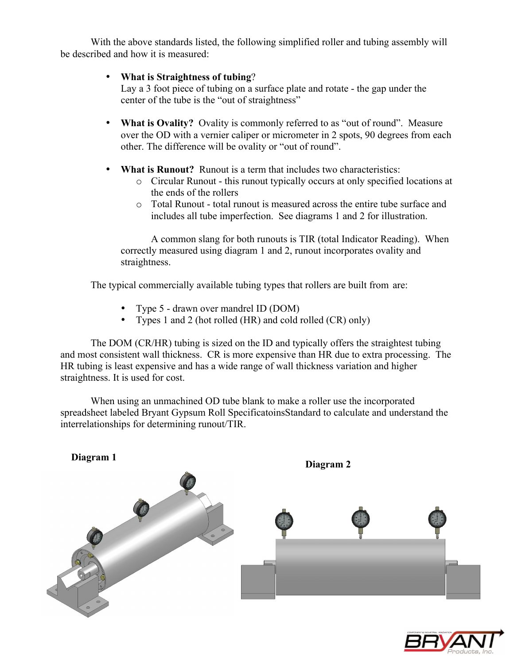With the above standards listed, the following simplified roller and tubing assembly will be described and how it is measured:

## • **What is Straightness of tubing**?

Lay a 3 foot piece of tubing on a surface plate and rotate - the gap under the center of the tube is the "out of straightness"

- **What is Ovality?** Ovality is commonly referred to as "out of round". Measure over the OD with a vernier caliper or micrometer in 2 spots, 90 degrees from each other. The difference will be ovality or "out of round".
- **What is Runout?** Runout is a term that includes two characteristics:
	- o Circular Runout this runout typically occurs at only specified locations at the ends of the rollers
	- o Total Runout total runout is measured across the entire tube surface and includes all tube imperfection. See diagrams 1 and 2 for illustration.

A common slang for both runouts is TIR (total Indicator Reading). When correctly measured using diagram 1 and 2, runout incorporates ovality and straightness.

The typical commercially available tubing types that rollers are built from are:

- Type 5 drawn over mandrel ID (DOM)
- Types 1 and 2 (hot rolled (HR) and cold rolled (CR) only)

The DOM (CR/HR) tubing is sized on the ID and typically offers the straightest tubing and most consistent wall thickness. CR is more expensive than HR due to extra processing. The HR tubing is least expensive and has a wide range of wall thickness variation and higher straightness. It is used for cost.

When using an unmachined OD tube blank to make a roller use the incorporated spreadsheet labeled Bryant Gypsum Roll SpecificatoinsStandard to calculate and understand the interrelationships for determining runout/TIR.



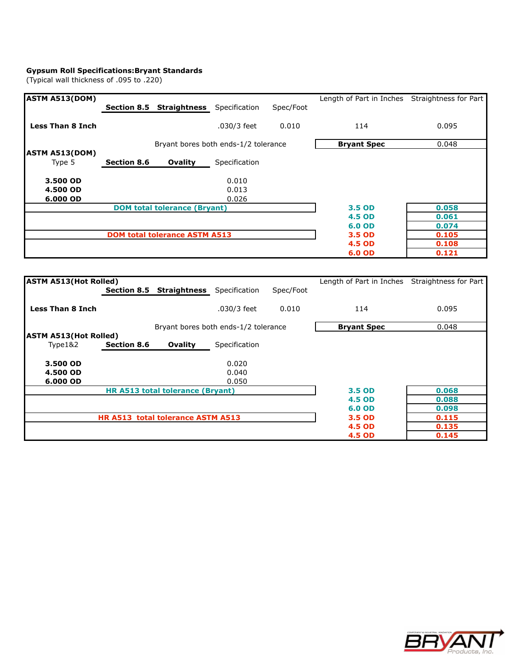#### **Gypsum Roll Specifications:Bryant Standards**

(Typical wall thickness of .095 to .220)

| <b>ASTM A513(DOM)</b>           |                    |                                      |               |           | Length of Part in Inches Straightness for Part |       |
|---------------------------------|--------------------|--------------------------------------|---------------|-----------|------------------------------------------------|-------|
|                                 |                    | Section 8.5 Straightness             | Specification | Spec/Foot |                                                |       |
| <b>Less Than 8 Inch</b>         |                    |                                      | .030/3 feet   | 0.010     | 114                                            | 0.095 |
|                                 |                    | Bryant bores both ends-1/2 tolerance |               |           | <b>Bryant Spec</b>                             | 0.048 |
| <b>ASTM A513(DOM)</b><br>Type 5 | <b>Section 8.6</b> | Ovality                              | Specification |           |                                                |       |
| 3.500 OD                        |                    |                                      | 0.010         |           |                                                |       |
| 4.500 OD                        |                    |                                      | 0.013         |           |                                                |       |
| 6.000 OD                        |                    |                                      | 0.026         |           |                                                |       |
|                                 |                    | <b>DOM total tolerance (Bryant)</b>  |               |           | 3.5 OD                                         | 0.058 |
|                                 |                    |                                      |               |           | <b>4.5 OD</b>                                  | 0.061 |
|                                 |                    |                                      |               |           | 6.0 OD                                         | 0.074 |
|                                 |                    | <b>DOM total tolerance ASTM A513</b> |               |           | 3.5 OD                                         | 0.105 |
|                                 |                    |                                      |               |           | <b>4.5 OD</b>                                  | 0.108 |
|                                 |                    |                                      |               |           | 6.0 OD                                         | 0.121 |

| <b>ASTM A513 (Hot Rolled)</b> |                    |                                      |               |           | Length of Part in Inches Straightness for Part |       |
|-------------------------------|--------------------|--------------------------------------|---------------|-----------|------------------------------------------------|-------|
|                               | <b>Section 8.5</b> | Straightness                         | Specification | Spec/Foot |                                                |       |
| <b>Less Than 8 Inch</b>       |                    |                                      | .030/3 feet   | 0.010     | 114                                            | 0.095 |
|                               |                    | Bryant bores both ends-1/2 tolerance |               |           | <b>Bryant Spec</b>                             | 0.048 |
| <b>ASTM A513 (Hot Rolled)</b> |                    |                                      |               |           |                                                |       |
| Type1&2                       | <b>Section 8.6</b> | Ovality                              | Specification |           |                                                |       |
| 3.500 OD                      |                    |                                      | 0.020         |           |                                                |       |
| 4.500 OD                      |                    |                                      | 0.040         |           |                                                |       |
| 6.000 OD                      |                    |                                      | 0.050         |           |                                                |       |
|                               |                    | HR A513 total tolerance (Bryant)     |               |           | 3.5 OD                                         | 0.068 |
|                               |                    |                                      |               |           | <b>4.5 OD</b>                                  | 0.088 |
|                               |                    |                                      |               |           | 6.0 OD                                         | 0.098 |
|                               |                    | HR A513 total tolerance ASTM A513    |               |           | 3.5 OD                                         | 0.115 |
|                               |                    |                                      |               |           | <b>4.5 OD</b>                                  | 0.135 |
|                               |                    |                                      |               |           | <b>4.5 OD</b>                                  | 0.145 |